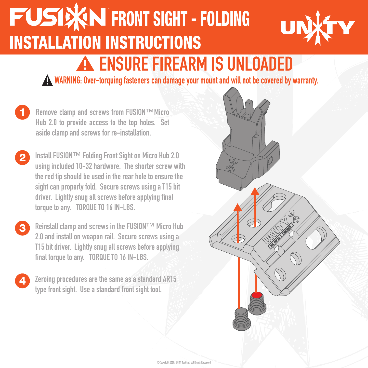## **FUSIXN FRONT SIGHT - FOLDING** U **INSTALLATION INSTRUCTIONS** A ENSURE FIREARM IS UNLOADED

WARNING: Over-torquing fasteners can damage your mount and will not be covered by warranty.

- 1 Remove clamp and screws from FUSION™Micro Hub 2.0 to provide access to the top holes. Set aside clamp and screws for re-installation.
- 2 Install FUSION™ Folding Front Sight on Micro Hub 2.0 using included 10-32 hardware. The shorter screw with the red tip should be used in the rear hole to ensure the sight can properly fold. Secure screws using a T15 bit driver. Lightly snug all screws before applying final torque to any. TORQUE TO 16 IN-LBS.
- 3 Reinstall clamp and screws in the FUSION™ Micro Hub 2.0 and install on weapon rail. Secure screws using a T15 bit driver. Lightly snug all screws before applying final torque to any. TORQUE TO 16 IN-LBS.
- Zeroing procedures are the same as a standard AR15 type front sight. Use a standard front sight tool.